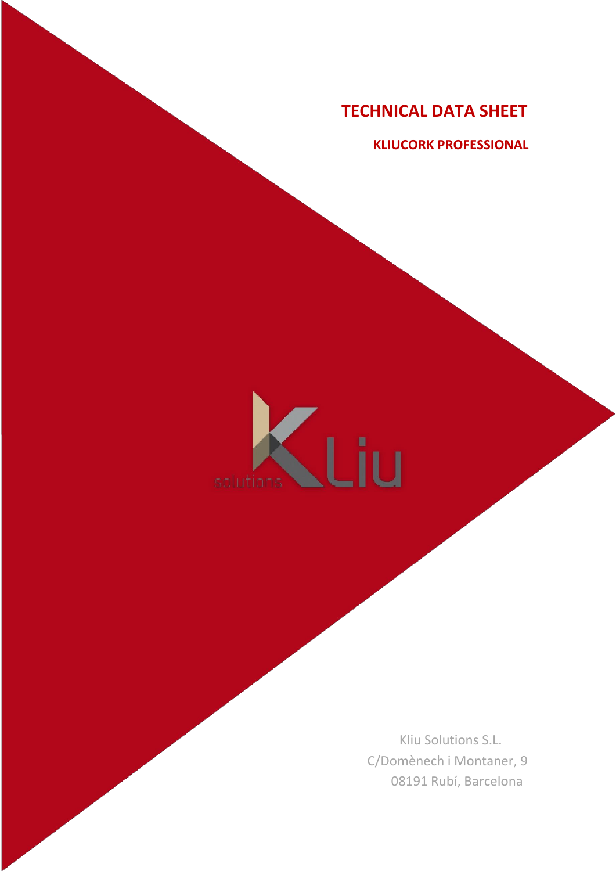**KLIUCORK PROFESSIONAL**

# .<br>Liu solutions

Kliu Solutions S.L. C/Domènech i Montaner, 9 08191 Rubí, Barcelona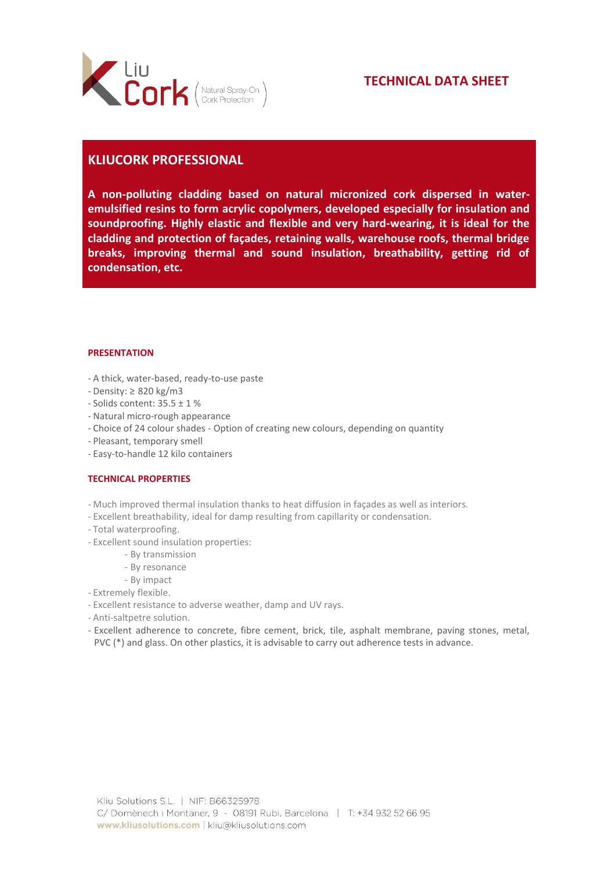

## **KLIUCORK PROFESSIONAL**

**A non-polluting cladding based on natural micronized cork dispersed in wateremulsified resins to form acrylic copolymers, developed especially for insulation and soundproofing. Highly elastic and flexible and very hard-wearing, it is ideal for the cladding and protection of façades, retaining walls, warehouse roofs, thermal bridge breaks, improving thermal and sound insulation, breathability, getting rid of condensation, etc.**

### **PRESENTATION**

- A thick, water-based, ready-to-use paste
- Density: ≥ 820 kg/m3
- Solids content: 35.5 ± 1 %
- Natural micro-rough appearance
- Choice of 24 colour shades Option of creating new colours, depending on quantity
- Pleasant, temporary smell
- Easy-to-handle 12 kilo containers

### **TECHNICAL PROPERTIES**

- Much improved thermal insulation thanks to heat diffusion in façades as well as interiors.
- Excellent breathability, ideal for damp resulting from capillarity or condensation.
- Total waterproofing.
- Excellent sound insulation properties:
	- By transmission
	- By resonance
	- By impact
- Extremely flexible.
- Excellent resistance to adverse weather, damp and UV rays.
- Anti-saltpetre solution.
- Excellent adherence to concrete, fibre cement, brick, tile, asphalt membrane, paving stones, metal, PVC (\*) and glass. On other plastics, it is advisable to carry out adherence tests in advance.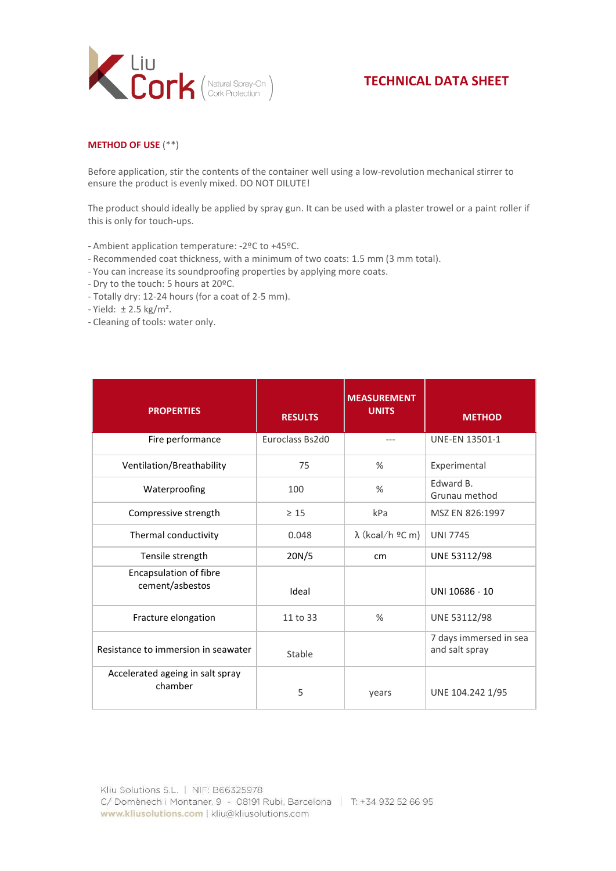

## **METHOD OF USE** (\*\*)

Before application, stir the contents of the container well using a low-revolution mechanical stirrer to ensure the product is evenly mixed. DO NOT DILUTE!

The product should ideally be applied by spray gun. It can be used with a plaster trowel or a paint roller if this is only for touch-ups.

- Ambient application temperature: -2ºC to +45ºC.
- Recommended coat thickness, with a minimum of two coats: 1.5 mm (3 mm total).
- You can increase its soundproofing properties by applying more coats.
- Dry to the touch: 5 hours at 20ºC.
- Totally dry: 12-24 hours (for a coat of 2-5 mm).
- Yield: ± 2.5 kg/m².
- Cleaning of tools: water only.

| <b>PROPERTIES</b>                           | <b>RESULTS</b>  | <b>MEASUREMENT</b><br><b>UNITS</b> | <b>METHOD</b>                            |
|---------------------------------------------|-----------------|------------------------------------|------------------------------------------|
| Fire performance                            | Euroclass Bs2d0 | $---$                              | <b>UNE-EN 13501-1</b>                    |
| Ventilation/Breathability                   | 75              | %                                  | Experimental                             |
| Waterproofing                               | 100             | %                                  | Edward B.<br>Grunau method               |
| Compressive strength                        | $\geq 15$       | kPa                                | MSZ EN 826:1997                          |
| Thermal conductivity                        | 0.048           | $\lambda$ (kcal/h ºC m)            | <b>UNI 7745</b>                          |
| Tensile strength                            | 20N/5           | cm                                 | UNE 53112/98                             |
| Encapsulation of fibre<br>cement/asbestos   | Ideal           |                                    | UNI 10686 - 10                           |
| Fracture elongation                         | 11 to 33        | %                                  | UNE 53112/98                             |
| Resistance to immersion in seawater         | Stable          |                                    | 7 days immersed in sea<br>and salt spray |
| Accelerated ageing in salt spray<br>chamber | 5               | years                              | UNE 104.242 1/95                         |